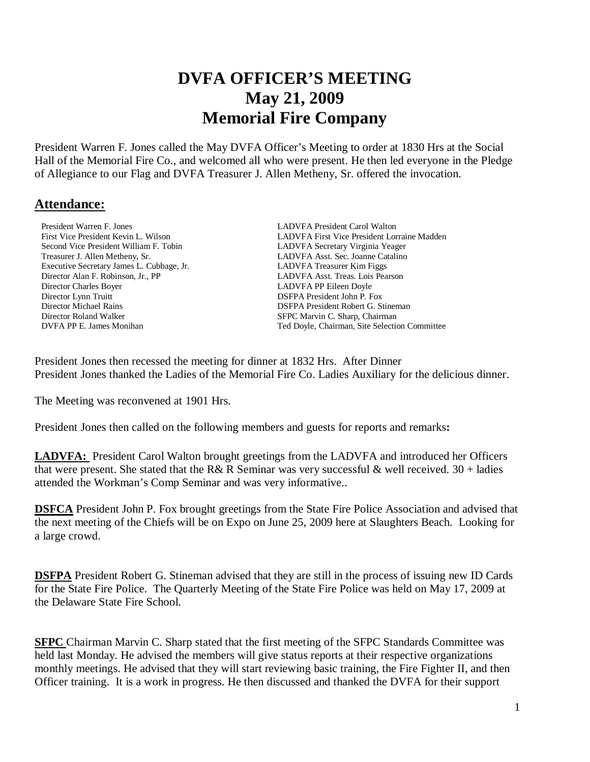# **DVFA OFFICER'S MEETING May 21, 2009 Memorial Fire Company**

President Warren F. Jones called the May DVFA Officer's Meeting to order at 1830 Hrs at the Social Hall of the Memorial Fire Co., and welcomed all who were present. He then led everyone in the Pledge of Allegiance to our Flag and DVFA Treasurer J. Allen Metheny, Sr. offered the invocation.

#### **Attendance:**

**President Warren F. Jones LADVFA President Carol Walton**  Second Vice President William F. Tobin LADVFA Secretary Virginia Yeager Treasurer J. Allen Metheny, Sr. LADVFA Asst. Sec. Joanne Catalino Executive Secretary James L. Cubbage, Jr. LADVFA Treasurer Kim Figgs Director Alan F. Robinson, Jr., PP LADVFA Asst. Treas. Lois Pearson Director Charles Boyer LADVFA PP Eileen Doyle Director Lynn Truitt DSFPA President John P. Fox<br>
DISFPA President Robert G. St Director Michael Rains DSFPA President Robert G. Stineman

 First Vice President Kevin L. Wilson LADVFA First Vice President Lorraine Madden SFPC Marvin C. Sharp, Chairman **DVFA PP E. James Monihan Ted Doyle, Chairman, Site Selection Committee** 

President Jones then recessed the meeting for dinner at 1832 Hrs. After Dinner President Jones thanked the Ladies of the Memorial Fire Co. Ladies Auxiliary for the delicious dinner.

The Meeting was reconvened at 1901 Hrs.

President Jones then called on the following members and guests for reports and remarks**:** 

LADVFA: President Carol Walton brought greetings from the LADVFA and introduced her Officers that were present. She stated that the R& R Seminar was very successful & well received.  $30 +$ ladies attended the Workman's Comp Seminar and was very informative..

**DSFCA** President John P. Fox brought greetings from the State Fire Police Association and advised that the next meeting of the Chiefs will be on Expo on June 25, 2009 here at Slaughters Beach. Looking for a large crowd.

**DSFPA** President Robert G. Stineman advised that they are still in the process of issuing new ID Cards for the State Fire Police. The Quarterly Meeting of the State Fire Police was held on May 17, 2009 at the Delaware State Fire School.

**SFPC** Chairman Marvin C. Sharp stated that the first meeting of the SFPC Standards Committee was held last Monday. He advised the members will give status reports at their respective organizations monthly meetings. He advised that they will start reviewing basic training, the Fire Fighter II, and then Officer training. It is a work in progress. He then discussed and thanked the DVFA for their support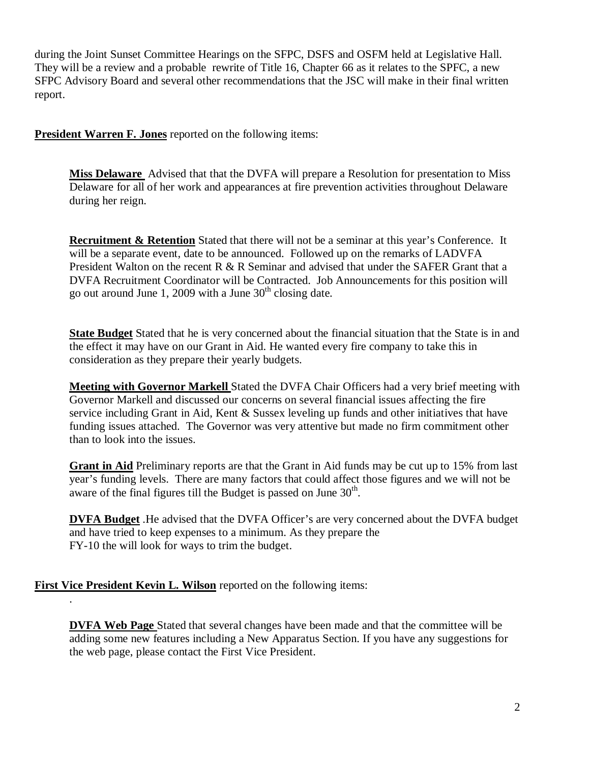during the Joint Sunset Committee Hearings on the SFPC, DSFS and OSFM held at Legislative Hall. They will be a review and a probable rewrite of Title 16, Chapter 66 as it relates to the SPFC, a new SFPC Advisory Board and several other recommendations that the JSC will make in their final written report.

**President Warren F. Jones** reported on the following items:

**Miss Delaware** Advised that that the DVFA will prepare a Resolution for presentation to Miss Delaware for all of her work and appearances at fire prevention activities throughout Delaware during her reign.

**Recruitment & Retention** Stated that there will not be a seminar at this year's Conference. It will be a separate event, date to be announced. Followed up on the remarks of LADVFA President Walton on the recent R & R Seminar and advised that under the SAFER Grant that a DVFA Recruitment Coordinator will be Contracted. Job Announcements for this position will go out around June 1, 2009 with a June  $30<sup>th</sup>$  closing date.

**State Budget** Stated that he is very concerned about the financial situation that the State is in and the effect it may have on our Grant in Aid. He wanted every fire company to take this in consideration as they prepare their yearly budgets.

**Meeting with Governor Markell** Stated the DVFA Chair Officers had a very brief meeting with Governor Markell and discussed our concerns on several financial issues affecting the fire service including Grant in Aid, Kent & Sussex leveling up funds and other initiatives that have funding issues attached. The Governor was very attentive but made no firm commitment other than to look into the issues.

**Grant in Aid** Preliminary reports are that the Grant in Aid funds may be cut up to 15% from last year's funding levels. There are many factors that could affect those figures and we will not be aware of the final figures till the Budget is passed on June  $30<sup>th</sup>$ .

**DVFA Budget** .He advised that the DVFA Officer's are very concerned about the DVFA budget and have tried to keep expenses to a minimum. As they prepare the FY-10 the will look for ways to trim the budget.

**First Vice President Kevin L. Wilson** reported on the following items:

.

**DVFA Web Page** Stated that several changes have been made and that the committee will be adding some new features including a New Apparatus Section. If you have any suggestions for the web page, please contact the First Vice President.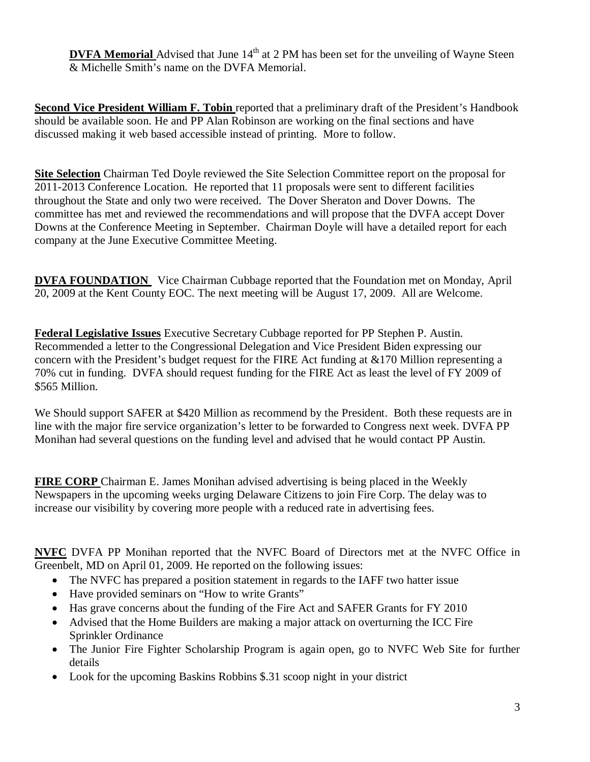**DVFA Memorial** Advised that June 14<sup>th</sup> at 2 PM has been set for the unveiling of Wayne Steen & Michelle Smith's name on the DVFA Memorial.

**Second Vice President William F. Tobin** reported that a preliminary draft of the President's Handbook should be available soon. He and PP Alan Robinson are working on the final sections and have discussed making it web based accessible instead of printing. More to follow.

**Site Selection** Chairman Ted Doyle reviewed the Site Selection Committee report on the proposal for 2011-2013 Conference Location. He reported that 11 proposals were sent to different facilities throughout the State and only two were received. The Dover Sheraton and Dover Downs. The committee has met and reviewed the recommendations and will propose that the DVFA accept Dover Downs at the Conference Meeting in September. Chairman Doyle will have a detailed report for each company at the June Executive Committee Meeting.

**DVFA FOUNDATION** Vice Chairman Cubbage reported that the Foundation met on Monday, April 20, 2009 at the Kent County EOC. The next meeting will be August 17, 2009. All are Welcome.

**Federal Legislative Issues** Executive Secretary Cubbage reported for PP Stephen P. Austin. Recommended a letter to the Congressional Delegation and Vice President Biden expressing our concern with the President's budget request for the FIRE Act funding at &170 Million representing a 70% cut in funding. DVFA should request funding for the FIRE Act as least the level of FY 2009 of \$565 Million.

We Should support SAFER at \$420 Million as recommend by the President. Both these requests are in line with the major fire service organization's letter to be forwarded to Congress next week. DVFA PP Monihan had several questions on the funding level and advised that he would contact PP Austin.

**FIRE CORP** Chairman E. James Monihan advised advertising is being placed in the Weekly Newspapers in the upcoming weeks urging Delaware Citizens to join Fire Corp. The delay was to increase our visibility by covering more people with a reduced rate in advertising fees.

**NVFC** DVFA PP Monihan reported that the NVFC Board of Directors met at the NVFC Office in Greenbelt, MD on April 01, 2009. He reported on the following issues:

- The NVFC has prepared a position statement in regards to the IAFF two hatter issue
- Have provided seminars on "How to write Grants"
- Has grave concerns about the funding of the Fire Act and SAFER Grants for FY 2010
- Advised that the Home Builders are making a major attack on overturning the ICC Fire Sprinkler Ordinance
- The Junior Fire Fighter Scholarship Program is again open, go to NVFC Web Site for further details
- Look for the upcoming Baskins Robbins \$.31 scoop night in your district